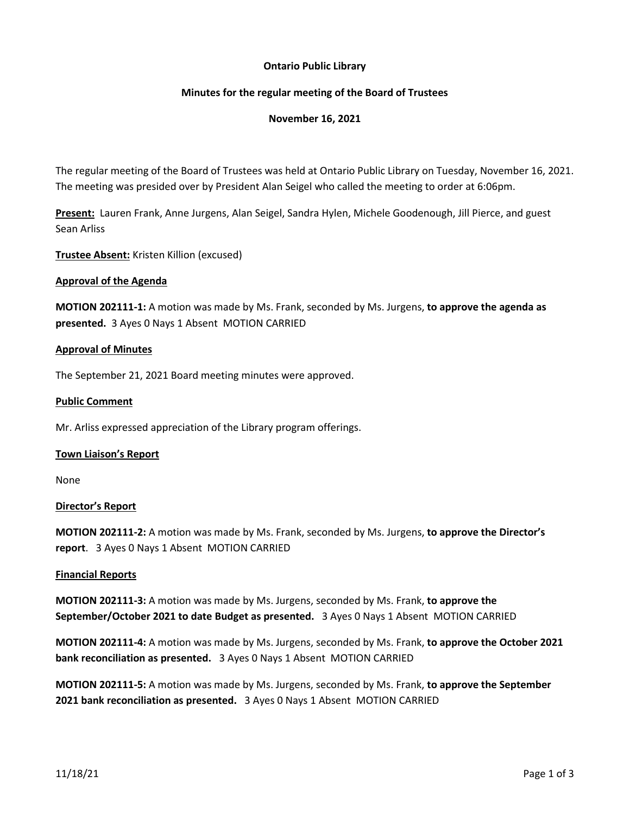# **Ontario Public Library**

# **Minutes for the regular meeting of the Board of Trustees**

### **November 16, 2021**

The regular meeting of the Board of Trustees was held at Ontario Public Library on Tuesday, November 16, 2021. The meeting was presided over by President Alan Seigel who called the meeting to order at 6:06pm.

**Present:** Lauren Frank, Anne Jurgens, Alan Seigel, Sandra Hylen, Michele Goodenough, Jill Pierce, and guest Sean Arliss

**Trustee Absent:** Kristen Killion (excused)

#### **Approval of the Agenda**

**MOTION 202111-1:** A motion was made by Ms. Frank, seconded by Ms. Jurgens, **to approve the agenda as presented.** 3 Ayes 0 Nays 1 Absent MOTION CARRIED

#### **Approval of Minutes**

The September 21, 2021 Board meeting minutes were approved.

#### **Public Comment**

Mr. Arliss expressed appreciation of the Library program offerings.

#### **Town Liaison's Report**

None

#### **Director's Report**

**MOTION 202111-2:** A motion was made by Ms. Frank, seconded by Ms. Jurgens, **to approve the Director's report**. 3 Ayes 0 Nays 1 Absent MOTION CARRIED

#### **Financial Reports**

**MOTION 202111-3:** A motion was made by Ms. Jurgens, seconded by Ms. Frank, **to approve the September/October 2021 to date Budget as presented.** 3 Ayes 0 Nays 1 Absent MOTION CARRIED

**MOTION 202111-4:** A motion was made by Ms. Jurgens, seconded by Ms. Frank, **to approve the October 2021 bank reconciliation as presented.** 3 Ayes 0 Nays 1 Absent MOTION CARRIED

**MOTION 202111-5:** A motion was made by Ms. Jurgens, seconded by Ms. Frank, **to approve the September 2021 bank reconciliation as presented.** 3 Ayes 0 Nays 1 Absent MOTION CARRIED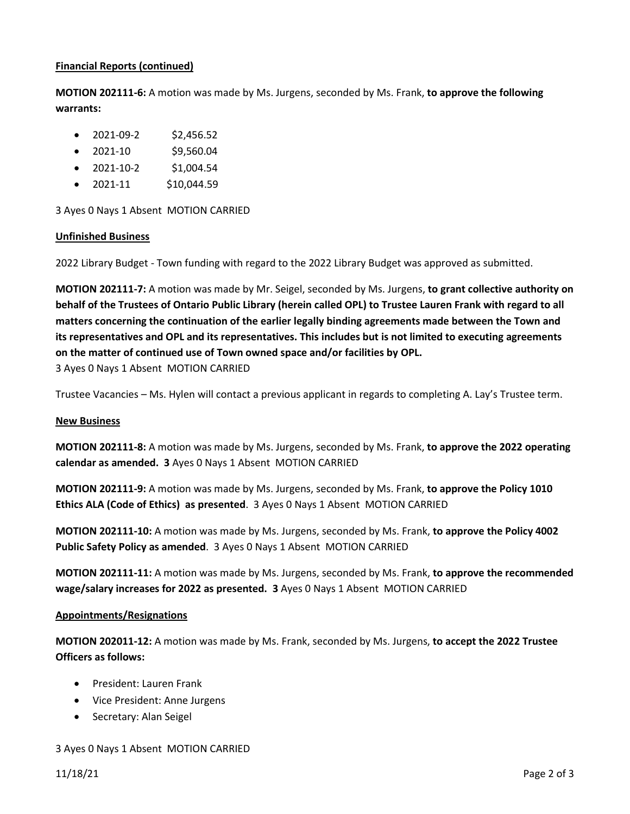# **Financial Reports (continued)**

**MOTION 202111-6:** A motion was made by Ms. Jurgens, seconded by Ms. Frank, **to approve the following warrants:**

- $\bullet$  2021-09-2 \$2,456.52
- 2021-10 \$9,560.04
- $2021 10 2$  \$1,004.54
- $\bullet$  2021-11 \$10,044.59

3 Ayes 0 Nays 1 Absent MOTION CARRIED

### **Unfinished Business**

2022 Library Budget - Town funding with regard to the 2022 Library Budget was approved as submitted.

**MOTION 202111-7:** A motion was made by Mr. Seigel, seconded by Ms. Jurgens, **to grant collective authority on behalf of the Trustees of Ontario Public Library (herein called OPL) to Trustee Lauren Frank with regard to all matters concerning the continuation of the earlier legally binding agreements made between the Town and its representatives and OPL and its representatives. This includes but is not limited to executing agreements on the matter of continued use of Town owned space and/or facilities by OPL.**  3 Ayes 0 Nays 1 Absent MOTION CARRIED

Trustee Vacancies – Ms. Hylen will contact a previous applicant in regards to completing A. Lay's Trustee term.

#### **New Business**

**MOTION 202111-8:** A motion was made by Ms. Jurgens, seconded by Ms. Frank, **to approve the 2022 operating calendar as amended. 3** Ayes 0 Nays 1 Absent MOTION CARRIED

**MOTION 202111-9:** A motion was made by Ms. Jurgens, seconded by Ms. Frank, **to approve the Policy 1010 Ethics ALA (Code of Ethics) as presented**. 3 Ayes 0 Nays 1 Absent MOTION CARRIED

**MOTION 202111-10:** A motion was made by Ms. Jurgens, seconded by Ms. Frank, **to approve the Policy 4002 Public Safety Policy as amended**. 3 Ayes 0 Nays 1 Absent MOTION CARRIED

**MOTION 202111-11:** A motion was made by Ms. Jurgens, seconded by Ms. Frank, **to approve the recommended wage/salary increases for 2022 as presented. 3** Ayes 0 Nays 1 Absent MOTION CARRIED

#### **Appointments/Resignations**

**MOTION 202011-12:** A motion was made by Ms. Frank, seconded by Ms. Jurgens, **to accept the 2022 Trustee Officers as follows:**

- President: Lauren Frank
- Vice President: Anne Jurgens
- Secretary: Alan Seigel

# 3 Ayes 0 Nays 1 Absent MOTION CARRIED